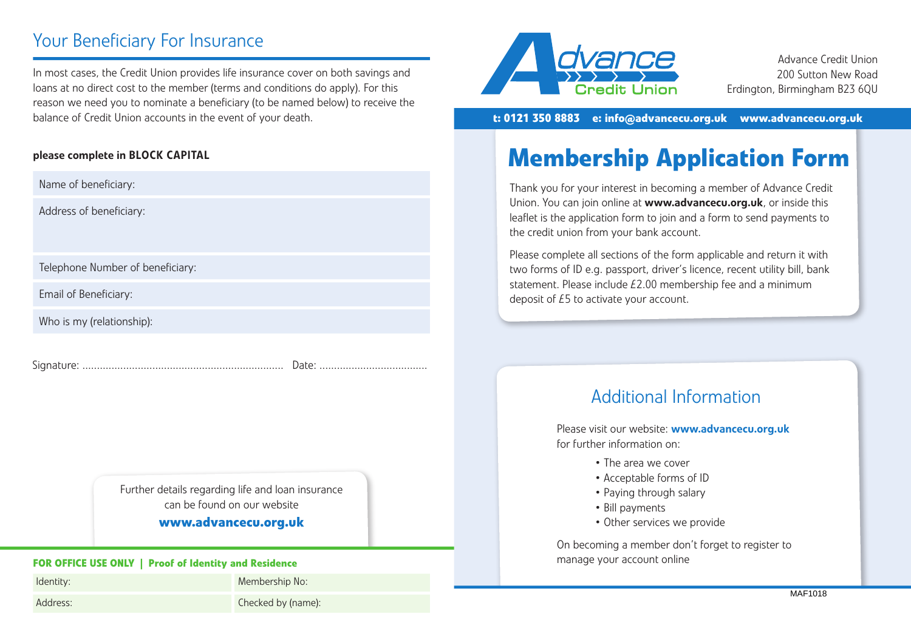# Your Beneficiary For Insurance

### please complete in BLOCK CAPITAL

## **www.advancecu.org.uk**

Please complete and return to the Checked by (name):<br>
Please complete and return to the above address and return to the above address and return to the above address and return to the above address and the above address an Checked by (name):



Advance Credit Union 200 Sutton New Road Erdington, Birmingham B23 6QU

**t: 0121 350 8883 • e: info@advancecu.org.uk • www.advancecu.org.uk**

# **Membership Application Form**

Thank you for your interest in becoming a member of Advance Credit Union. You can join online at www.advancecu.org.uk, or inside this leaflet is the application form to join and a form to send payments to the credit union from your bank account.

Please complete all sections of the form applicable and return it with two forms of ID e.g. passport, driver's licence, recent utility bill, bank statement. Please include £2.00 membership fee and a minimum deposit of £5 to activate your account.

## Additional Information

Please visit our website: www.advancecu.org.uk for further information on:

- The area we cover
- Acceptable forms of ID
- Paying through salary
- Bill payments
- Other services we provide

On becoming a member don't forget to register to manage your account online